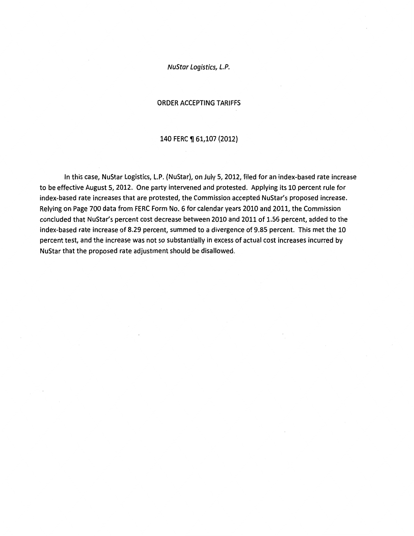NuStar Logistics, L.P.

#### ORDER ACCEPTING TARIFFS

#### 140 FERC ¶ 61,107 (2012)

In this case, NuStar Logistics, L.P. (NuStar), *on* July 5, 2012, filed for an index-based rate increase to be effective August 5, 2012. One party intervened and protested. Applying its 10 percent rule for index-based rate increases that are protested, the Commission accepted NuStar's proposed increase. Relying on Page 700 data from FERC Form No. 6 for calendar years 2010 and 2011, the Commission concluded that NuStar's percent cost decrease between 2010 and 2011 of 1.56 percent, added to the index-based rate increase of 8.29 percent, summed to a divergence of 9.85 percent. This met the 10 percent test, and the increase was not so substantially in excess of actual cost increases incurred by NuStar that the proposed rate adjustment should be disallowed.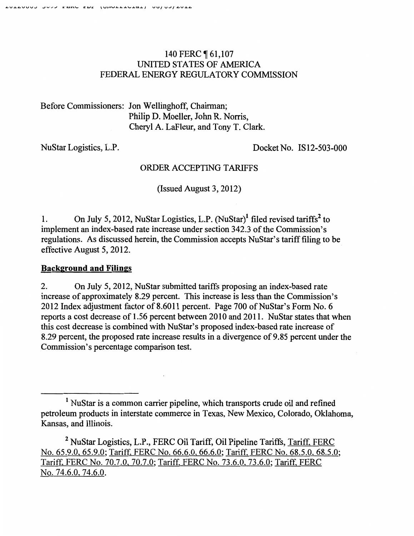# 140 FERC **161,107** UNITED STATES OF AMERICA FEDERAL ENERGY REGULATORY COMMISSION

Before Commissioners: Jon Wellinghoff, Chairman; Philip D. Moeller, John R. Norris, Cheryl A. LaFleur, and Tony T. Clark.

NuStar Logistics, L.P.

Docket No. IS12-503-000

## ORDER ACCEPTING TARIFFS

(Issued August 3, 2012)

1. On July 5, 2012, NuStar Logistics, L.P. (NuStar)<sup>1</sup> filed revised tariffs<sup>2</sup> to implement an index-based rate increase under section 342.3 of the Commission's regulations. As discussed herein, the Commission accepts NuStar's tariff filing to be effective August 5, 2012.

## **Background and Filings**

2. On July 5, 2012, NuStar submitted tariffs proposing an index-based rate increase of approximately 8.29 percent. This increase is less than the Commission's 2012 Index adjustment factor of 8.6011 percent. Page 700 of NuStar's Form No. 6 reports a cost decrease of 1.56 percent between 2010 and 2011. NuStar states that when this cost decrease is combined with NuStar's proposed index-based rate increase of 8.29 percent, the proposed rate increase results in a divergence of 9.85 percent under the Commission's percentage comparison test.

<sup>&</sup>lt;sup>1</sup> NuStar is a common carrier pipeline, which transports crude oil and refined petroleum products in interstate commerce in Texas, New Mexico, Colorado, Oklahoma, Kansas, and Illinois.

<sup>&</sup>lt;sup>2</sup> NuStar Logistics, L.P., FERC Oil Tariff, Oil Pipeline Tariffs, Tariff, FERC No. 65.9.0, 65.9.0; Tariff, FERC No. 66.6.0, 66.6.0; Tariff. FERC No. 68.5.0. 68.5.0; Tariff, FERC No. 70.7.0, 70.7.0; Tariff. FERC No. 73.6.0. 73.6.0; Tariff. FERC No. 74.6.0, 74.6.0.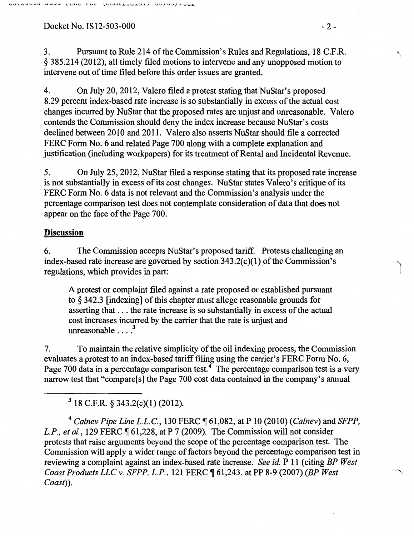### Docket No. IS12-503-000 - 2 -

3. Pursuant to Rule 214 of the Commission's Rules and Regulations, 18 C.F.R. § 385.214 (2012), all timely filed motions to intervene and any unopposed motion to intervene out of time filed before this order issues are granted.

4. On July 20, 2012, Valero filed a protest stating that NuStar's proposed 8.29 percent index-based rate increase is so substantially in excess of the actual cost changes incurred by NuStar that the proposed rates are unjust and unreasonable. Valero contends the Commission should deny the index increase because NuStar's costs declined between 2010 and 2011. Valero also asserts NuStar should file a corrected FERC Form No. 6 and related Page 700 along with a complete explanation and justification (including workpapers) for its treatment of Rental and Incidental Revenue.

5. On July 25, 2012, NuStar filed a response stating that its proposed rate increase is not substantially in excess of its cost changes. NuStar states Valero's critique of its FERC Form No. 6 data is not relevant and the Commission's analysis under the percentage comparison test does not contemplate consideration of data that does not appear on the face of the Page 700.

## **Discussion**

6. The Commission accepts NuStar's proposed tariff. Protests challenging an index-based rate increase are governed by section 343.2(c)(1) of the Commission's regulations, which provides in part:

A protest or complaint filed against a rate proposed or established pursuant to§ 342.3 [indexing] of this chapter must allege reasonable grounds for asserting that ... the rate increase is so substantially in excess of the actual cost increases incurred by the carrier that the rate is unjust and unreasonable  $\ldots$ <sup>3</sup>

7. To maintain the relative simplicity of the oil indexing process, the Commission evaluates a protest to an index-based tariff filing using the carrier's FERC Form No.6, Page 700 data in a percentage comparison test.<sup>4</sup> The percentage comparison test is a very narrow test that "compare[s] the Page 700 cost data contained in the company's annual

 $3$  18 C.F.R. § 343.2(c)(1) (2012).

<sup>4</sup>*Calnev Pipe Line L.L.C.,* 130 FERC ~ 61,082, at P 10 (2010) *(Calnev)* and *SFPP, L.P., et al.,* 129 FERC ¶ 61,228, at P 7 (2009). The Commission will not consider protests that raise arguments beyond the scope of the percentage comparison test. The Commission will apply a wider range of factors beyond the percentage comparison test in reviewing a complaint against an index-based rate increase. *See id.* P 11 (citing *BP West Coast Products LLC v. SFPP, L.P.*, 121 FERC  $\llbracket 61,243,$  at PP 8-9 (2007) *(BP West Coast)).*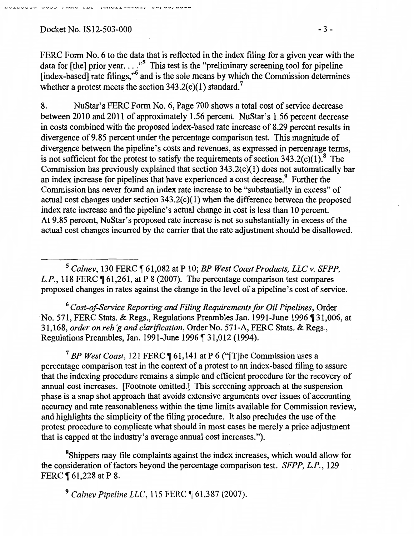## Docket No. IS12-503-000 -3-

\_\_ ........ \_ ......... \_\_ ..., \_\_ .......... ~- .... .-. , ........... \_..\_..\_ .... \_ .... \_ .... , ......... , .... ...,, .................

FERC Form No. 6 to the data that is reflected in the index filing for a given year with the data for [the] prior year...."<sup>5</sup> This test is the "preliminary screening tool for pipeline [index-based] rate filings,"6 and is the sole means by which the Commission determines whether a protest meets the section  $343.2(c)(1)$  standard.<sup>7</sup>

8. NuStar's PERC Form No.6, Page 700 shows a total cost of service decrease between 2010 and 2011 of approximately 1.56 percent. NuStar's 1.56 percent decrease in costs combined with the proposed index-based rate increase of 8.29 percent results in divergence of9.85 percent under the percentage comparison test. This magnitude of divergence between the pipeline's costs and revenues, as expressed in percentage terms, is not sufficient for the protest to satisfy the requirements of section  $343.2(c)(1)$ .<sup>8</sup> The Commission has previously explained that section 343.2(c)(1) does not automatically bar an index increase for pipelines that have experienced a cost decrease.<sup>9</sup> Further the Commission has never found an index rate increase to be "substantially in excess" of actual cost changes under section  $343.2(c)(1)$  when the difference between the proposed index rate increase and the pipeline's actual change in cost is less than 10 percent. At 9.85 percent, NuStar's proposed rate increase is not so substantially in excess of the actual cost changes incurred by the carrier that the rate adjustment should be disallowed.

<sup>5</sup> Calnev, 130 FERC ¶ 61,082 at P 10; *BP West Coast Products, LLC v. SFPP*, *L.P.*, 118 FERC  $\P$  61,261, at P 8 (2007). The percentage comparison test compares proposed changes in rates against the change in the level of a pipeline's cost of service.

6 *Cost-of-Service Reporting and Filing Requirements for Oil Pipelines,* Order No. 571, FERC Stats. & Regs., Regulations Preambles Jan. 1991-June 1996 ¶ 31,006, at 31,168, *order on reh 'g and clarification,* Order No. 571-A, FERC Stats. & Regs., Regulations Preambles, Jan. 1991-June 1996 ¶ 31,012 (1994).

<sup>7</sup> BP West Coast, 121 FERC ¶ 61,141 at P 6 ("[T]he Commission uses a percentage comparison test in the context of a protest to an index-based filing to assure that the indexing procedure remains a simple and efficient procedure for the recovery of annual cost increases. [Footnote omitted.] This screening approach at the suspension phase is a snap shot approach that avoids extensive arguments over issues of accounting accuracy and rate reasonableness within the time limits available for Commission review, and highlights the simplicity of the filing procedure. It also precludes the use of the protest procedure to complicate what should in most cases be merely a price adjustment that is capped at the industry's average annual cost increases.").

<sup>8</sup>Shippers may file complaints against the index increases, which would allow for the consideration of factors beyond the percentage comparison test. *SFPP, L.P.,* 129 FERC ¶ 61,228 at P 8.

<sup>9</sup> Calnev Pipeline LLC, 115 FERC ¶ 61,387 (2007).